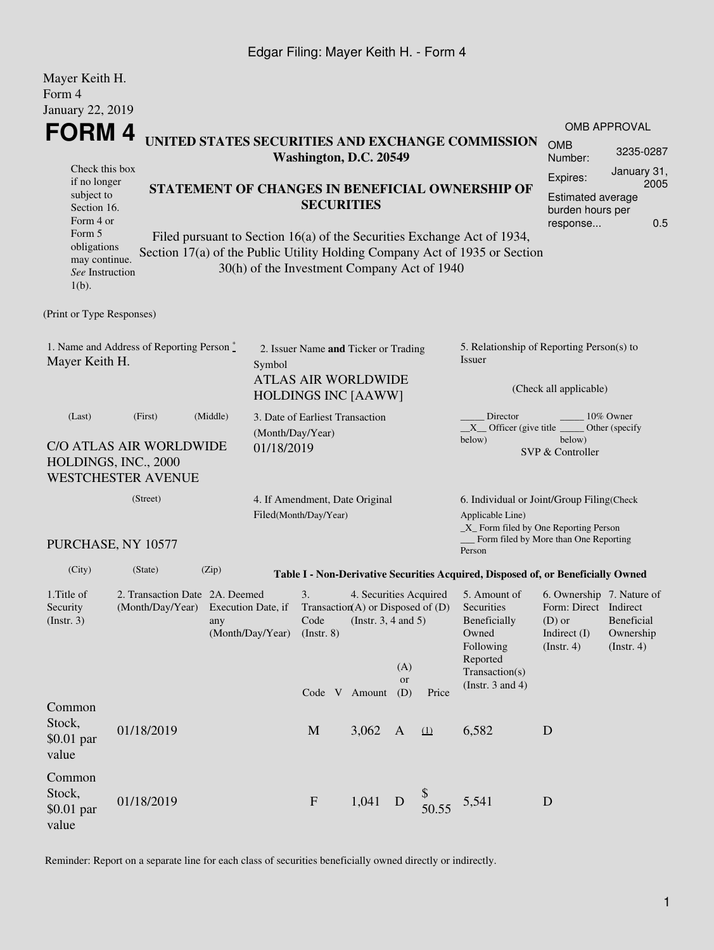## Edgar Filing: Mayer Keith H. - Form 4

| Mayer Keith H.<br>Form 4                                                          |                                                                              |       |                                             |                                                                                                                                                                          |         |                        |                                                                |                                                                                                                                                       |                                                                     |                                                     |  |  |
|-----------------------------------------------------------------------------------|------------------------------------------------------------------------------|-------|---------------------------------------------|--------------------------------------------------------------------------------------------------------------------------------------------------------------------------|---------|------------------------|----------------------------------------------------------------|-------------------------------------------------------------------------------------------------------------------------------------------------------|---------------------------------------------------------------------|-----------------------------------------------------|--|--|
| January 22, 2019                                                                  |                                                                              |       |                                             |                                                                                                                                                                          |         |                        |                                                                |                                                                                                                                                       |                                                                     | <b>OMB APPROVAL</b>                                 |  |  |
| <b>FORM4</b>                                                                      |                                                                              |       |                                             | Washington, D.C. 20549                                                                                                                                                   |         |                        |                                                                | UNITED STATES SECURITIES AND EXCHANGE COMMISSION                                                                                                      | <b>OMB</b><br>Number:                                               | 3235-0287                                           |  |  |
| Check this box<br>if no longer<br>STATEMENT OF CHANGES IN BENEFICIAL OWNERSHIP OF |                                                                              |       |                                             |                                                                                                                                                                          |         |                        |                                                                | Expires:                                                                                                                                              | January 31,<br>2005                                                 |                                                     |  |  |
| subject to<br>Section 16.<br>Form 4 or                                            |                                                                              |       |                                             | <b>SECURITIES</b>                                                                                                                                                        |         |                        |                                                                |                                                                                                                                                       | response                                                            | <b>Estimated average</b><br>burden hours per<br>0.5 |  |  |
| Form 5<br>obligations<br>may continue.<br>See Instruction<br>$1(b)$ .             |                                                                              |       | 30(h) of the Investment Company Act of 1940 |                                                                                                                                                                          |         |                        |                                                                | Filed pursuant to Section 16(a) of the Securities Exchange Act of 1934,<br>Section 17(a) of the Public Utility Holding Company Act of 1935 or Section |                                                                     |                                                     |  |  |
| (Print or Type Responses)                                                         |                                                                              |       |                                             |                                                                                                                                                                          |         |                        |                                                                |                                                                                                                                                       |                                                                     |                                                     |  |  |
| 1. Name and Address of Reporting Person *<br>Mayer Keith H.                       |                                                                              |       | Symbol                                      | 2. Issuer Name and Ticker or Trading                                                                                                                                     |         |                        |                                                                |                                                                                                                                                       | 5. Relationship of Reporting Person(s) to<br>Issuer                 |                                                     |  |  |
|                                                                                   | <b>ATLAS AIR WORLDWIDE</b><br><b>HOLDINGS INC [AAWW]</b>                     |       |                                             |                                                                                                                                                                          |         | (Check all applicable) |                                                                |                                                                                                                                                       |                                                                     |                                                     |  |  |
| (Last)<br>(First)<br>(Middle)                                                     |                                                                              |       | (Month/Day/Year)                            | 3. Date of Earliest Transaction                                                                                                                                          |         |                        |                                                                | Director<br>10% Owner<br>$X$ Officer (give title $\frac{1}{1}$<br>Other (specify<br>below)<br>below)                                                  |                                                                     |                                                     |  |  |
|                                                                                   | C/O ATLAS AIR WORLDWIDE<br>HOLDINGS, INC., 2000<br><b>WESTCHESTER AVENUE</b> |       | 01/18/2019                                  |                                                                                                                                                                          |         |                        |                                                                |                                                                                                                                                       | SVP & Controller                                                    |                                                     |  |  |
| (Street)                                                                          |                                                                              |       |                                             | 4. If Amendment, Date Original<br>Filed(Month/Day/Year)                                                                                                                  |         |                        |                                                                | 6. Individual or Joint/Group Filing(Check<br>Applicable Line)<br>$\_X$ Form filed by One Reporting Person<br>Form filed by More than One Reporting    |                                                                     |                                                     |  |  |
|                                                                                   | PURCHASE, NY 10577                                                           |       |                                             |                                                                                                                                                                          |         |                        |                                                                | Person                                                                                                                                                |                                                                     |                                                     |  |  |
| (City)                                                                            | (State)                                                                      | (Zip) |                                             |                                                                                                                                                                          |         |                        |                                                                | Table I - Non-Derivative Securities Acquired, Disposed of, or Beneficially Owned                                                                      |                                                                     |                                                     |  |  |
| 1. Title of<br>Security<br>$($ Instr. 3 $)$                                       | 2. Transaction Date 2A. Deemed<br>any                                        |       | (Month/Day/Year)                            | 3.<br>4. Securities Acquired<br>(Month/Day/Year) Execution Date, if Transaction(A) or Disposed of (D) Securities<br>Code<br>(Instr. $3, 4$ and $5$ )<br>$($ Instr. 8 $)$ |         |                        | 5. Amount of<br>Beneficially<br>Owned<br>Following<br>Reported | Form: Direct Indirect<br>$(D)$ or<br>Indirect (I)<br>$($ Instr. 4 $)$                                                                                 | 6. Ownership 7. Nature of<br>Beneficial<br>Ownership<br>(Insert. 4) |                                                     |  |  |
|                                                                                   |                                                                              |       |                                             | Code V Amount                                                                                                                                                            |         | (A)<br>or<br>(D)       | Price                                                          | Transaction(s)<br>(Instr. $3$ and $4$ )                                                                                                               |                                                                     |                                                     |  |  |
| Common<br>Stock,<br>$$0.01$ par<br>value                                          | 01/18/2019                                                                   |       |                                             | M                                                                                                                                                                        | 3,062 A |                        | (1)                                                            | 6,582                                                                                                                                                 | $\mathbf D$                                                         |                                                     |  |  |
| Common<br>Stock,<br>$$0.01$ par<br>value                                          | 01/18/2019                                                                   |       |                                             | $\mathbf{F}$                                                                                                                                                             | 1,041   | D                      | 50.55                                                          | 5,541                                                                                                                                                 | $\mathbf D$                                                         |                                                     |  |  |

Reminder: Report on a separate line for each class of securities beneficially owned directly or indirectly.